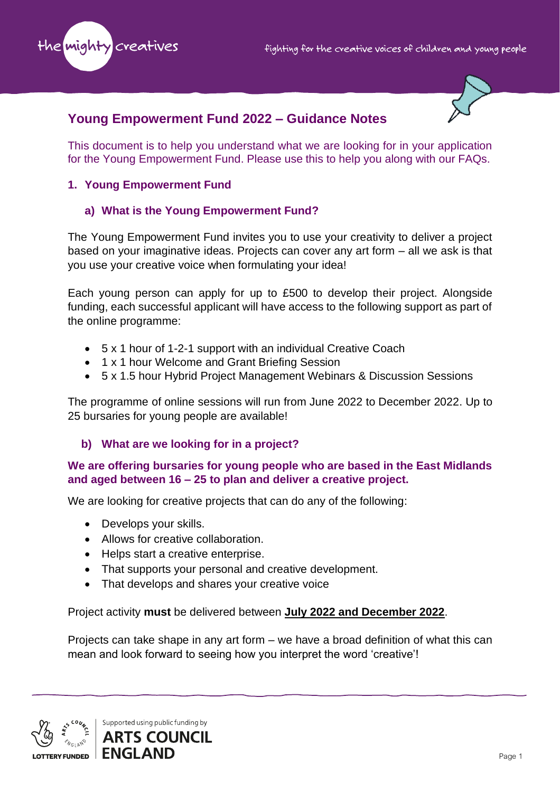



# **Young Empowerment Fund 2022 – Guidance Notes**

This document is to help you understand what we are looking for in your application for the Young Empowerment Fund. Please use this to help you along with our FAQs.

### **1. Young Empowerment Fund**

## **a) What is the Young Empowerment Fund?**

The Young Empowerment Fund invites you to use your creativity to deliver a project based on your imaginative ideas. Projects can cover any art form – all we ask is that you use your creative voice when formulating your idea!

Each young person can apply for up to £500 to develop their project. Alongside funding, each successful applicant will have access to the following support as part of the online programme:

- 5 x 1 hour of 1-2-1 support with an individual Creative Coach
- 1 x 1 hour Welcome and Grant Briefing Session
- 5 x 1.5 hour Hybrid Project Management Webinars & Discussion Sessions

The programme of online sessions will run from June 2022 to December 2022. Up to 25 bursaries for young people are available!

### **b) What are we looking for in a project?**

### **We are offering bursaries for young people who are based in the East Midlands and aged between 16 – 25 to plan and deliver a creative project.**

We are looking for creative projects that can do any of the following:

- Develops your skills.
- Allows for creative collaboration.
- Helps start a creative enterprise.
- That supports your personal and creative development.
- That develops and shares your creative voice

Project activity **must** be delivered between **July 2022 and December 2022**.

Projects can take shape in any art form – we have a broad definition of what this can mean and look forward to seeing how you interpret the word 'creative'!

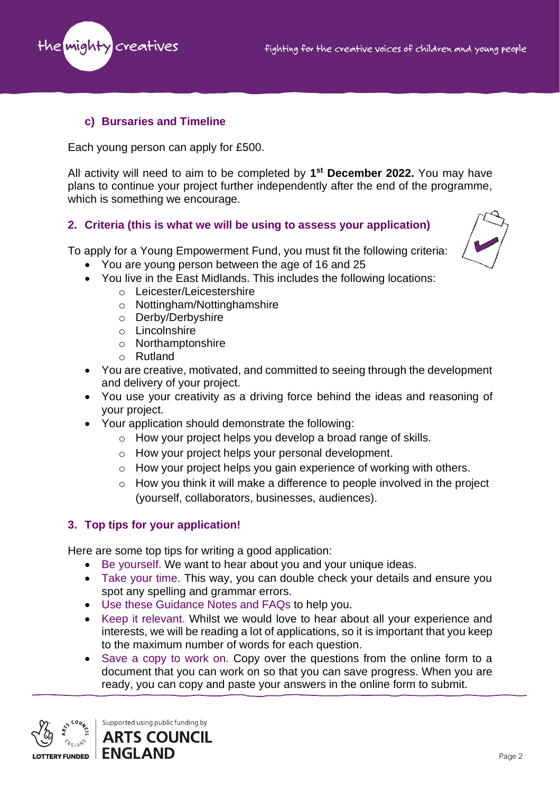

### **c) Bursaries and Timeline**

Each young person can apply for £500.

All activity will need to aim to be completed by **1 st December 2022.** You may have plans to continue your project further independently after the end of the programme, which is something we encourage.

#### **2. Criteria (this is what we will be using to assess your application)**

To apply for a Young Empowerment Fund, you must fit the following criteria:



- You are young person between the age of 16 and 25
- You live in the East Midlands. This includes the following locations:
	- o Leicester/Leicestershire
	- o Nottingham/Nottinghamshire
	- o Derby/Derbyshire
	- o Lincolnshire
	- o Northamptonshire
	- o Rutland
- You are creative, motivated, and committed to seeing through the development and delivery of your project.
- You use your creativity as a driving force behind the ideas and reasoning of your project.
- Your application should demonstrate the following:
	- o How your project helps you develop a broad range of skills.
	- o How your project helps your personal development.
	- o How your project helps you gain experience of working with others.
	- o How you think it will make a difference to people involved in the project (yourself, collaborators, businesses, audiences).

### **3. Top tips for your application!**

Here are some top tips for writing a good application:

- Be yourself. We want to hear about you and your unique ideas.
- Take your time. This way, you can double check your details and ensure you spot any spelling and grammar errors.
- Use these Guidance Notes and FAQs to help you.
- Keep it relevant. Whilst we would love to hear about all your experience and interests, we will be reading a lot of applications, so it is important that you keep to the maximum number of words for each question.
- Save a copy to work on. Copy over the questions from the online form to a document that you can work on so that you can save progress. When you are ready, you can copy and paste your answers in the online form to submit.



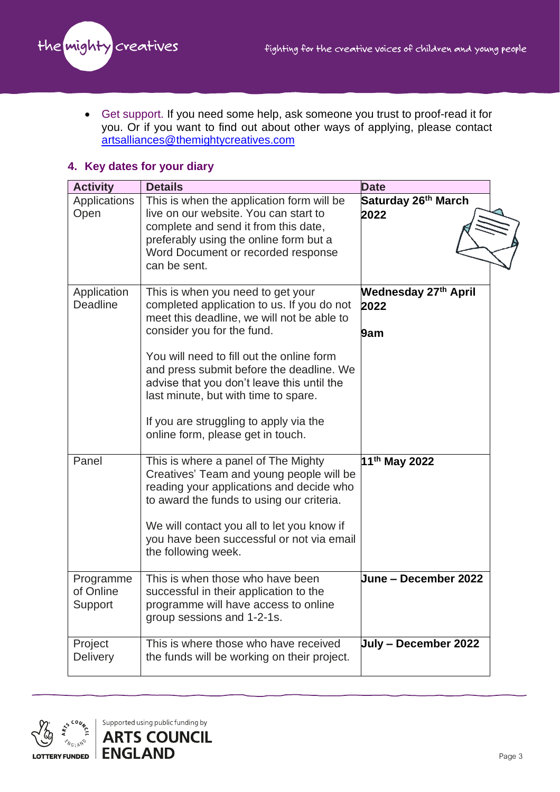

• Get support. If you need some help, ask someone you trust to proof-read it for you. Or if you want to find out about other ways of applying, please contact [artsalliances@themightycreatives.com](mailto:artsalliances@themightycreatives.com)

#### **4. Key dates for your diary**

| <b>Activity</b>                   | <b>Details</b>                                                                                                                                                                                                                                                                                                                                                                                                            | <b>Date</b>                                |
|-----------------------------------|---------------------------------------------------------------------------------------------------------------------------------------------------------------------------------------------------------------------------------------------------------------------------------------------------------------------------------------------------------------------------------------------------------------------------|--------------------------------------------|
| Applications<br>Open              | This is when the application form will be<br>live on our website. You can start to<br>complete and send it from this date,<br>preferably using the online form but a<br>Word Document or recorded response<br>can be sent.                                                                                                                                                                                                | Saturday 26 <sup>th</sup> March<br>2022    |
| Application<br>Deadline           | This is when you need to get your<br>completed application to us. If you do not<br>meet this deadline, we will not be able to<br>consider you for the fund.<br>You will need to fill out the online form<br>and press submit before the deadline. We<br>advise that you don't leave this until the<br>last minute, but with time to spare.<br>If you are struggling to apply via the<br>online form, please get in touch. | <b>Wednesday 27th April</b><br>2022<br>9am |
| Panel                             | This is where a panel of The Mighty<br>Creatives' Team and young people will be<br>reading your applications and decide who<br>to award the funds to using our criteria.<br>We will contact you all to let you know if<br>you have been successful or not via email<br>the following week.                                                                                                                                | 11 <sup>th</sup> May 2022                  |
| Programme<br>of Online<br>Support | This is when those who have been<br>successful in their application to the<br>programme will have access to online<br>group sessions and 1-2-1s.                                                                                                                                                                                                                                                                          | <b>June – December 2022</b>                |
| Project<br><b>Delivery</b>        | This is where those who have received<br>the funds will be working on their project.                                                                                                                                                                                                                                                                                                                                      | July - December 2022                       |